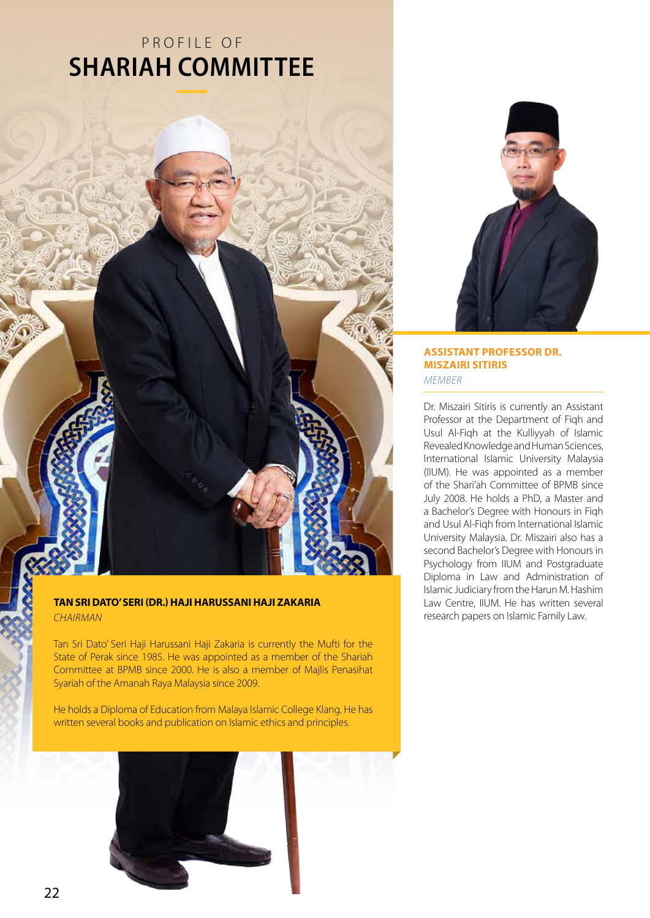## P ROFILE OF **SHARIAH COMMITTEE**



**ASSISTANT PROFESSOR DR. MISZAIRI SITIRIS** *Member*

Dr. Miszairi Sitiris is currently an Assistant Professor at the Department of Fiqh and Usul Al-Fiqh at the Kulliyyah of Islamic Revealed Knowledge and Human Sciences, International Islamic University Malaysia (IIUM). He was appointed as a member of the Shari'ah Committee of BPMB since July 2008. He holds a PhD, a Master and a Bachelor's Degree with Honours in Fiqh and Usul Al-Fiqh from International Islamic University Malaysia. Dr. Miszairi also has a second Bachelor's Degree with Honours in Psychology from IIUM and Postgraduate Diploma in Law and Administration of Islamic Judiciary from the Harun M. Hashim Law Centre, IIUM. He has written several research papers on Islamic Family Law.

## **TAN SRI DATO' SERI (DR.) HAJI HARUSSANI HAJI ZAKARIA** *Chairman*

Tan Sri Dato' Seri Haji Harussani Haji Zakaria is currently the Mufti for the State of Perak since 1985. He was appointed as a member of the Shariah Committee at BPMB since 2000. He is also a member of Majlis Penasihat Syariah of the Amanah Raya Malaysia since 2009.

He holds a Diploma of Education from Malaya Islamic College Klang. He has written several books and publication on Islamic ethics and principles.